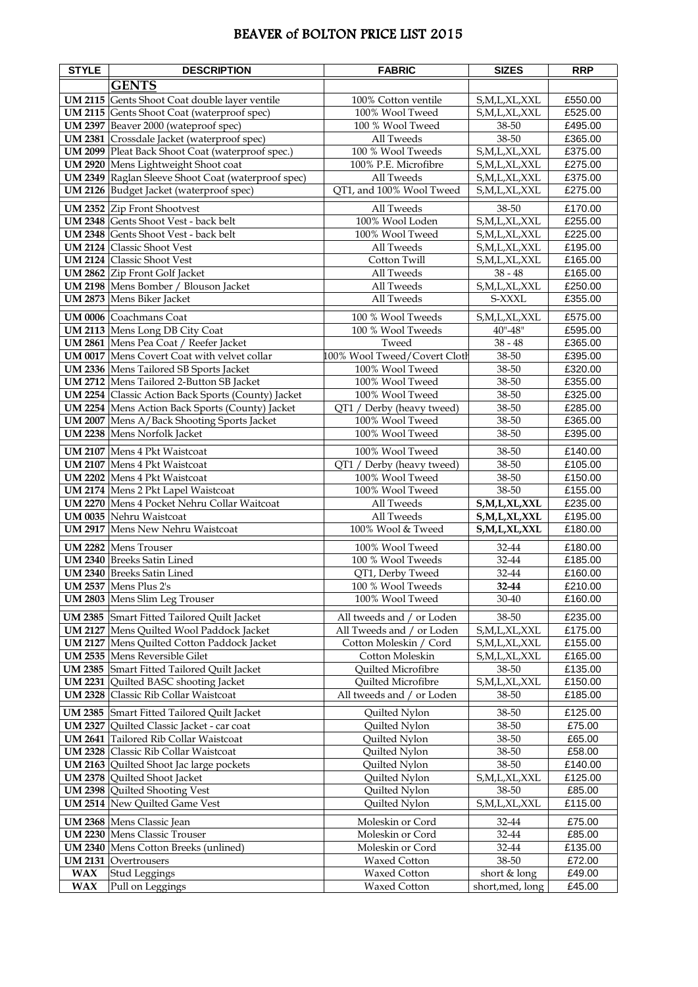## BEAVER of BOLTON PRICE LIST 2015

| <b>STYLE</b>   | <b>DESCRIPTION</b>                                        | <b>FABRIC</b>                | <b>SIZES</b>     | <b>RRP</b>       |
|----------------|-----------------------------------------------------------|------------------------------|------------------|------------------|
|                | <b>GENTS</b>                                              |                              |                  |                  |
|                | <b>UM 2115</b> Gents Shoot Coat double layer ventile      | 100% Cotton ventile          | S,M,L,XL,XXL     | £550.00          |
|                | UM 2115 Gents Shoot Coat (waterproof spec)                | 100% Wool Tweed              | S,M,L,XL,XXL     | £525.00          |
|                | UM 2397 Beaver 2000 (wateproof spec)                      | 100 % Wool Tweed             | 38-50            | £495.00          |
|                | UM 2381 Crossdale Jacket (waterproof spec)                | All Tweeds                   | 38-50            | £365.00          |
|                | UM 2099 Pleat Back Shoot Coat (waterproof spec.)          | 100 % Wool Tweeds            | S,M,L,XL,XXL     | £375.00          |
|                | UM 2920 Mens Lightweight Shoot coat                       | 100% P.E. Microfibre         | S,M,L,XL,XXL     | £275.00          |
|                | UM 2349 Raglan Sleeve Shoot Coat (waterproof spec)        | All Tweeds                   | S,M,L,XL,XXL     | £375.00          |
|                | UM 2126 Budget Jacket (waterproof spec)                   | QT1, and 100% Wool Tweed     | S,M,L,XL,XXL     | £275.00          |
|                | <b>UM 2352</b> Zip Front Shootvest                        | All Tweeds                   | 38-50            | £170.00          |
|                | UM 2348 Gents Shoot Vest - back belt                      | 100% Wool Loden              | S,M,L,XL,XXL     | £255.00          |
|                | UM 2348 Gents Shoot Vest - back belt                      | 100% Wool Tweed              | S,M,L,XL,XXL     | £225.00          |
|                | <b>UM 2124</b> Classic Shoot Vest                         | All Tweeds                   | S,M,L,XL,XXL     | £195.00          |
|                | <b>UM 2124</b> Classic Shoot Vest                         | Cotton Twill                 | S,M,L,XL,XXL     | £165.00          |
|                | <b>UM 2862</b> Zip Front Golf Jacket                      | All Tweeds                   | $38 - 48$        | £165.00          |
|                | UM 2198 Mens Bomber / Blouson Jacket                      | All Tweeds                   | S,M,L,XL,XXL     | £250.00          |
|                | UM 2873 Mens Biker Jacket                                 | All Tweeds                   | S-XXXL           | £355.00          |
|                | <b>UM 0006</b> Coachmans Coat                             | 100 % Wool Tweeds            | S,M,L,XL,XXL     | £575.00          |
|                | <b>UM 2113</b> Mens Long DB City Coat                     | 100 % Wool Tweeds            | $40" - 48"$      | £595.00          |
|                | UM 2861 Mens Pea Coat / Reefer Jacket                     | Tweed                        | $38 - 48$        | £365.00          |
|                | <b>UM 0017</b> Mens Covert Coat with velvet collar        | 100% Wool Tweed/Covert Cloth | 38-50            | £395.00          |
|                | UM 2336 Mens Tailored SB Sports Jacket                    | 100% Wool Tweed              | 38-50            | £320.00          |
|                | UM 2712 Mens Tailored 2-Button SB Jacket                  | 100% Wool Tweed              | 38-50            | £355.00          |
|                | <b>UM 2254</b> Classic Action Back Sports (County) Jacket | 100% Wool Tweed              | 38-50            | £325.00          |
|                | <b>UM 2254</b> Mens Action Back Sports (County) Jacket    | QT1 / Derby (heavy tweed)    | 38-50            | £285.00          |
|                | <b>UM 2007</b> Mens A/Back Shooting Sports Jacket         | 100% Wool Tweed              | 38-50            | £365.00          |
|                | UM 2238 Mens Norfolk Jacket                               | 100% Wool Tweed              | 38-50            | £395.00          |
|                | <b>UM 2107</b> Mens 4 Pkt Waistcoat                       | 100% Wool Tweed              | 38-50            | £140.00          |
|                | <b>UM 2107</b> Mens 4 Pkt Waistcoat                       | QT1 / Derby (heavy tweed)    | 38-50            | £105.00          |
|                | <b>UM 2202</b> Mens 4 Pkt Waistcoat                       | 100% Wool Tweed              | 38-50            | £150.00          |
|                | UM 2174 Mens 2 Pkt Lapel Waistcoat                        | 100% Wool Tweed              | 38-50            | £155.00          |
|                | UM 2270 Mens 4 Pocket Nehru Collar Waitcoat               | All Tweeds                   | S,M,L,XL,XXL     | £235.00          |
|                | <b>UM 0035</b> Nehru Waistcoat                            | All Tweeds                   | S,M,L,XL,XXL     | £195.00          |
|                | <b>UM 2917</b> Mens New Nehru Waistcoat                   | 100% Wool & Tweed            | S,M,L,XL,XXL     | £180.00          |
|                | <b>UM 2282</b> Mens Trouser                               | 100% Wool Tweed              | 32-44            | £180.00          |
|                | <b>UM 2340</b> Breeks Satin Lined                         | 100 % Wool Tweeds            | 32-44            | £185.00          |
|                | <b>UM 2340</b> Breeks Satin Lined                         | QT1, Derby Tweed             | 32-44            | £160.00          |
|                | UM 2537 Mens Plus 2's                                     | 100 % Wool Tweeds            | 32-44            | £210.00          |
|                | UM 2803 Mens Slim Leg Trouser                             | 100% Wool Tweed              | 30-40            | £160.00          |
|                | UM 2385 Smart Fitted Tailored Quilt Jacket                | All tweeds and / or Loden    | 38-50            | £235.00          |
|                | UM 2127 Mens Quilted Wool Paddock Jacket                  | All Tweeds and / or Loden    | S,M,L,XL,XXL     | £175.00          |
|                | <b>UM 2127</b> Mens Quilted Cotton Paddock Jacket         | Cotton Moleskin / Cord       | S,M,L,XL,XXL     | £155.00          |
|                | <b>UM 2535</b> Mens Reversible Gilet                      | Cotton Moleskin              | S,M,L,XL,XXL     | £165.00          |
|                | UM 2385 Smart Fitted Tailored Quilt Jacket                | Quilted Microfibre           | 38-50            | £135.00          |
|                | <b>UM 2231</b> Quilted BASC shooting Jacket               | Quilted Microfibre           | S,M,L,XL,XXL     | £150.00          |
| <b>UM 2328</b> | Classic Rib Collar Waistcoat                              | All tweeds and / or Loden    | 38-50            | £185.00          |
| <b>UM 2385</b> | Smart Fitted Tailored Quilt Jacket                        | Quilted Nylon                | 38-50            | £125.00          |
|                | UM 2327 Quilted Classic Jacket - car coat                 | Quilted Nylon                | 38-50            | £75.00           |
|                | UM 2641 Tailored Rib Collar Waistcoat                     | Quilted Nylon                | 38-50            | £65.00           |
|                | <b>UM 2328</b> Classic Rib Collar Waistcoat               | Quilted Nylon                | 38-50            | £58.00           |
|                | UM 2163 Quilted Shoot Jac large pockets                   | Quilted Nylon                | 38-50            | £140.00          |
|                | UM 2378 Quilted Shoot Jacket                              | Quilted Nylon                | S,M,L,XL,XXL     | £125.00          |
|                | <b>UM 2398</b> Quilted Shooting Vest                      | Quilted Nylon                | 38-50            | £85.00           |
|                | <b>UM 2514</b> New Quilted Game Vest                      | Quilted Nylon                | S,M,L,XL,XXL     | £115.00          |
|                | <b>UM 2368</b> Mens Classic Jean                          | Moleskin or Cord             | 32-44            | £75.00           |
|                | <b>UM 2230</b> Mens Classic Trouser                       | Moleskin or Cord             | 32-44            | £85.00           |
|                | <b>UM 2340</b> Mens Cotton Breeks (unlined)               | Moleskin or Cord             | 32-44            | £135.00          |
|                | <b>UM 2131 Overtrousers</b>                               | Waxed Cotton                 | 38-50            | £72.00           |
| <b>WAX</b>     | <b>Stud Leggings</b>                                      | Waxed Cotton                 | short & long     | £49.00<br>£45.00 |
| <b>WAX</b>     | Pull on Leggings                                          | Waxed Cotton                 | short, med, long |                  |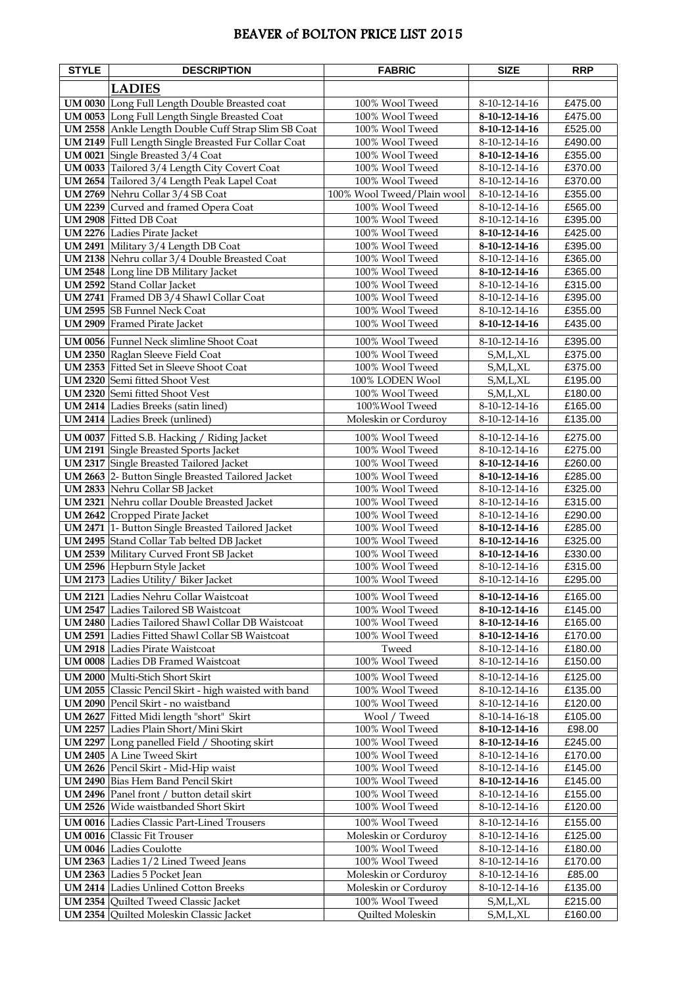## BEAVER of BOLTON PRICE LIST 2015

| <b>STYLE</b>   | <b>DESCRIPTION</b>                                                                             | <b>FABRIC</b>                      | <b>SIZE</b>                    | <b>RRP</b>         |
|----------------|------------------------------------------------------------------------------------------------|------------------------------------|--------------------------------|--------------------|
|                | <b>LADIES</b>                                                                                  |                                    |                                |                    |
|                | UM 0030 Long Full Length Double Breasted coat                                                  | 100% Wool Tweed                    | 8-10-12-14-16                  | £475.00            |
|                | UM 0053 Long Full Length Single Breasted Coat                                                  | 100% Wool Tweed                    | 8-10-12-14-16                  | £475.00            |
|                | UM 2558 Ankle Length Double Cuff Strap Slim SB Coat                                            | 100% Wool Tweed                    | 8-10-12-14-16                  | £525.00            |
|                | UM 2149 Full Length Single Breasted Fur Collar Coat                                            | 100% Wool Tweed                    | 8-10-12-14-16                  | £490.00            |
|                | UM 0021 Single Breasted 3/4 Coat                                                               | 100% Wool Tweed                    | 8-10-12-14-16                  | £355.00            |
|                | UM 0033 Tailored 3/4 Length City Covert Coat                                                   | 100% Wool Tweed                    | 8-10-12-14-16                  | £370.00            |
|                | UM 2654 Tailored 3/4 Length Peak Lapel Coat                                                    | 100% Wool Tweed                    | 8-10-12-14-16                  | £370.00            |
|                | UM 2769 Nehru Collar 3/4 SB Coat                                                               | 100% Wool Tweed/Plain wool         | 8-10-12-14-16                  | £355.00            |
|                | UM 2239 Curved and framed Opera Coat                                                           | 100% Wool Tweed                    | 8-10-12-14-16                  | £565.00            |
|                | UM 2908 Fitted DB Coat                                                                         | 100% Wool Tweed                    | 8-10-12-14-16                  | £395.00            |
|                | <b>UM 2276</b> Ladies Pirate Jacket                                                            | 100% Wool Tweed                    | 8-10-12-14-16                  | £425.00            |
|                | UM 2491 Military 3/4 Length DB Coat                                                            | 100% Wool Tweed                    | 8-10-12-14-16                  | £395.00            |
|                | UM 2138 Nehru collar 3/4 Double Breasted Coat<br><b>UM 2548</b> Long line DB Military Jacket   | 100% Wool Tweed<br>100% Wool Tweed | 8-10-12-14-16<br>8-10-12-14-16 | £365.00<br>£365.00 |
|                | <b>UM 2592</b> Stand Collar Jacket                                                             | 100% Wool Tweed                    | 8-10-12-14-16                  | £315.00            |
|                | UM 2741 Framed DB 3/4 Shawl Collar Coat                                                        | 100% Wool Tweed                    | 8-10-12-14-16                  | £395.00            |
|                | UM 2595 SB Funnel Neck Coat                                                                    | 100% Wool Tweed                    | 8-10-12-14-16                  | £355.00            |
|                | <b>UM 2909</b> Framed Pirate Jacket                                                            | 100% Wool Tweed                    | 8-10-12-14-16                  | £435.00            |
|                | <b>UM 0056</b> Funnel Neck slimline Shoot Coat                                                 | 100% Wool Tweed                    | 8-10-12-14-16                  | £395.00            |
|                | <b>UM 2350</b> Raglan Sleeve Field Coat                                                        | 100% Wool Tweed                    | S,M,L,XL                       | £375.00            |
|                | <b>UM 2353</b> Fitted Set in Sleeve Shoot Coat                                                 | 100% Wool Tweed                    | S,M,L,XL                       | £375.00            |
|                | <b>UM 2320</b> Semi fitted Shoot Vest                                                          | 100% LODEN Wool                    | S,M,L,XL                       | £195.00            |
|                | <b>UM 2320</b> Semi fitted Shoot Vest                                                          | 100% Wool Tweed                    | S,M,L,XL                       | £180.00            |
|                | <b>UM 2414</b> Ladies Breeks (satin lined)                                                     | 100% Wool Tweed                    | 8-10-12-14-16                  | £165.00            |
|                | <b>UM 2414</b> Ladies Breek (unlined)                                                          | Moleskin or Corduroy               | 8-10-12-14-16                  | £135.00            |
|                | UM 0037 Fitted S.B. Hacking / Riding Jacket                                                    | 100% Wool Tweed                    | 8-10-12-14-16                  | £275.00            |
|                | <b>UM 2191</b> Single Breasted Sports Jacket                                                   | 100% Wool Tweed                    | 8-10-12-14-16                  | £275.00            |
|                | <b>UM 2317</b> Single Breasted Tailored Jacket                                                 | 100% Wool Tweed                    | 8-10-12-14-16                  | £260.00            |
|                | UM 2663 2- Button Single Breasted Tailored Jacket                                              | 100% Wool Tweed                    | 8-10-12-14-16                  | £285.00            |
|                | UM 2833 Nehru Collar SB Jacket                                                                 | 100% Wool Tweed                    | 8-10-12-14-16                  | £325.00            |
|                | UM 2321 Nehru collar Double Breasted Jacket                                                    | 100% Wool Tweed                    | 8-10-12-14-16                  | £315.00            |
|                | UM 2642 Cropped Pirate Jacket                                                                  | 100% Wool Tweed                    | 8-10-12-14-16                  | £290.00            |
|                | UM 2471 1- Button Single Breasted Tailored Jacket<br>UM 2495 Stand Collar Tab belted DB Jacket | 100% Wool Tweed<br>100% Wool Tweed | 8-10-12-14-16<br>8-10-12-14-16 | £285.00<br>£325.00 |
|                | <b>UM 2539</b> Military Curved Front SB Jacket                                                 | 100% Wool Tweed                    | 8-10-12-14-16                  | £330.00            |
|                | UM 2596 Hepburn Style Jacket                                                                   | 100% Wool Tweed                    | 8-10-12-14-16                  | £315.00            |
|                | UM 2173 Ladies Utility/ Biker Jacket                                                           | 100% Wool Tweed                    | 8-10-12-14-16                  | £295.00            |
|                | <b>UM 2121</b> Ladies Nehru Collar Waistcoat                                                   | 100% Wool Tweed                    | 8-10-12-14-16                  | £165.00            |
|                | <b>UM 2547</b> Ladies Tailored SB Waistcoat                                                    | 100% Wool Tweed                    | 8-10-12-14-16                  | £145.00            |
|                | <b>UM 2480</b> Ladies Tailored Shawl Collar DB Waistcoat                                       | 100% Wool Tweed                    | 8-10-12-14-16                  | £165.00            |
|                | <b>UM 2591</b> Ladies Fitted Shawl Collar SB Waistcoat                                         | 100% Wool Tweed                    | 8-10-12-14-16                  | £170.00            |
|                | <b>UM 2918</b> Ladies Pirate Waistcoat                                                         | Tweed                              | 8-10-12-14-16                  | £180.00            |
|                | <b>UM 0008</b> Ladies DB Framed Waistcoat                                                      | 100% Wool Tweed                    | 8-10-12-14-16                  | £150.00            |
|                | UM 2000 Multi-Stich Short Skirt                                                                | 100% Wool Tweed                    | 8-10-12-14-16                  | £125.00            |
|                | UM 2055 Classic Pencil Skirt - high waisted with band                                          | 100% Wool Tweed                    | 8-10-12-14-16                  | £135.00            |
|                | UM 2090 Pencil Skirt - no waistband                                                            | 100% Wool Tweed                    | 8-10-12-14-16                  | £120.00            |
|                | UM 2627 Fitted Midi length "short" Skirt                                                       | Wool / Tweed                       | 8-10-14-16-18                  | £105.00            |
|                | UM 2257 Ladies Plain Short/Mini Skirt                                                          | 100% Wool Tweed                    | 8-10-12-14-16                  | £98.00             |
|                | UM 2297 Long panelled Field / Shooting skirt<br>UM 2405 A Line Tweed Skirt                     | 100% Wool Tweed<br>100% Wool Tweed | 8-10-12-14-16                  | £245.00            |
|                | UM 2626 Pencil Skirt - Mid-Hip waist                                                           | 100% Wool Tweed                    | 8-10-12-14-16<br>8-10-12-14-16 | £170.00<br>£145.00 |
|                | <b>UM 2490</b> Bias Hem Band Pencil Skirt                                                      | 100% Wool Tweed                    | 8-10-12-14-16                  | £145.00            |
|                | UM 2496 Panel front / button detail skirt                                                      | 100% Wool Tweed                    | 8-10-12-14-16                  | £155.00            |
|                | UM 2526 Wide waistbanded Short Skirt                                                           | 100% Wool Tweed                    | 8-10-12-14-16                  | £120.00            |
|                | <b>UM 0016</b> Ladies Classic Part-Lined Trousers                                              | 100% Wool Tweed                    | 8-10-12-14-16                  | £155.00            |
|                | <b>UM 0016</b> Classic Fit Trouser                                                             | Moleskin or Corduroy               | 8-10-12-14-16                  | £125.00            |
|                | <b>UM 0046</b> Ladies Coulotte                                                                 | 100% Wool Tweed                    | 8-10-12-14-16                  | £180.00            |
|                | UM 2363 Ladies 1/2 Lined Tweed Jeans                                                           | 100% Wool Tweed                    | 8-10-12-14-16                  | £170.00            |
|                | UM 2363 Ladies 5 Pocket Jean                                                                   | Moleskin or Corduroy               | 8-10-12-14-16                  | £85.00             |
|                | <b>UM 2414</b> Ladies Unlined Cotton Breeks                                                    | Moleskin or Corduroy               | 8-10-12-14-16                  | £135.00            |
|                | <b>UM 2354</b> Quilted Tweed Classic Jacket                                                    | 100% Wool Tweed                    | S,M,L,XL                       | £215.00            |
| <b>UM 2354</b> | Quilted Moleskin Classic Jacket                                                                | Quilted Moleskin                   | S,M,L,XL                       | £160.00            |